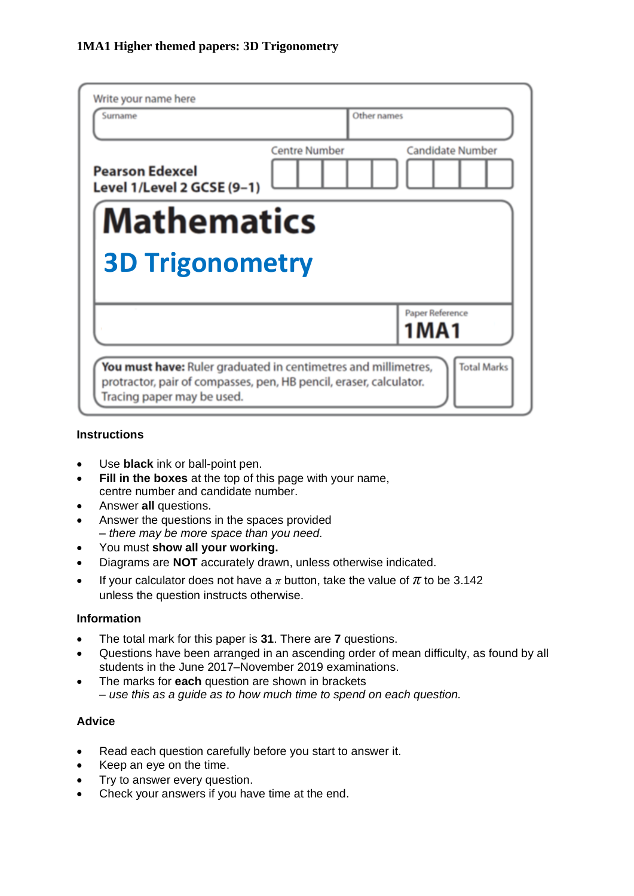| Write your name here<br>Surname                                                                                                                                                          | Other names          |                         |  |  |  |  |  |  |  |  |
|------------------------------------------------------------------------------------------------------------------------------------------------------------------------------------------|----------------------|-------------------------|--|--|--|--|--|--|--|--|
| <b>Pearson Edexcel</b><br>Level 1/Level 2 GCSE (9-1)                                                                                                                                     | <b>Centre Number</b> | <b>Candidate Number</b> |  |  |  |  |  |  |  |  |
| <b>Mathematics</b><br><b>3D Trigonometry</b>                                                                                                                                             |                      |                         |  |  |  |  |  |  |  |  |
|                                                                                                                                                                                          |                      | Paper Reference<br>1MA1 |  |  |  |  |  |  |  |  |
| <b>Total Marks</b><br>You must have: Ruler graduated in centimetres and millimetres,<br>protractor, pair of compasses, pen, HB pencil, eraser, calculator.<br>Tracing paper may be used. |                      |                         |  |  |  |  |  |  |  |  |

#### **Instructions**

- Use **black** ink or ball-point pen.
- **Fill in the boxes** at the top of this page with your name, centre number and candidate number.
- Answer **all** questions.
- Answer the questions in the spaces provided *– there may be more space than you need.*
- You must **show all your working.**
- Diagrams are **NOT** accurately drawn, unless otherwise indicated.
- If your calculator does not have a  $\pi$  button, take the value of  $\pi$  to be 3.142 unless the question instructs otherwise.

#### **Information**

- The total mark for this paper is **31**. There are **7** questions.
- Questions have been arranged in an ascending order of mean difficulty, as found by all students in the June 2017–November 2019 examinations.
- The marks for **each** question are shown in brackets *– use this as a guide as to how much time to spend on each question.*

#### **Advice**

- Read each question carefully before you start to answer it.
- Keep an eye on the time.
- Try to answer every question.
- Check your answers if you have time at the end.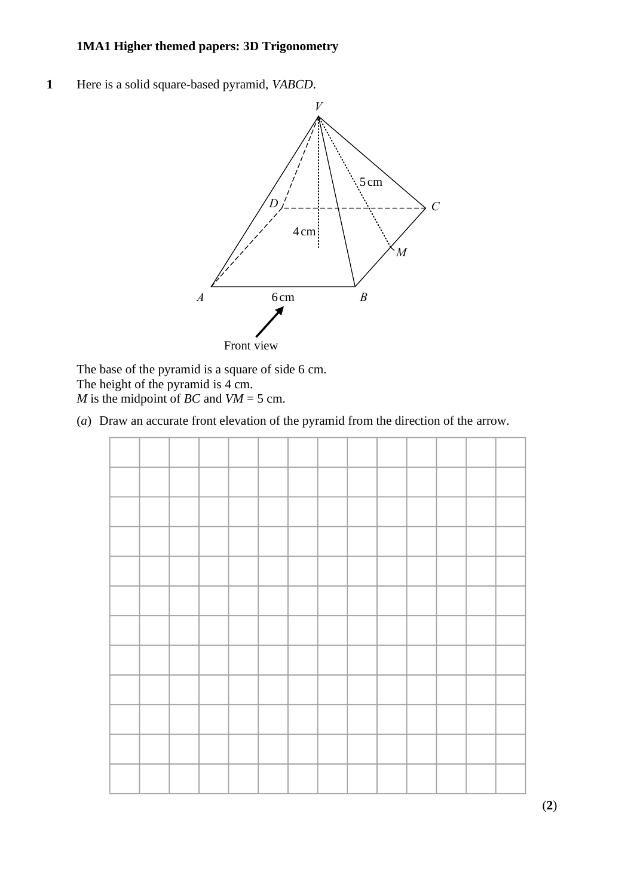**1** Here is a solid square-based pyramid, *VABCD*.



The base of the pyramid is a square of side 6 cm. The base of the pyramid is <sup>a</sup> square of side 6cm. The height of the pyramid is 4 cm. *M* is the midpoint of *BC* and  $VM = 5$  cm. The base of the pyramid is a squa

(*a*) Draw an accurate front elevation of the pyramid from the direction of the arrow. (a) Draw an accurate front elevation of the pyramid from the direction of the arrow. (a) Draw an accurate front elevation of the pyramid from the direction of the arrow.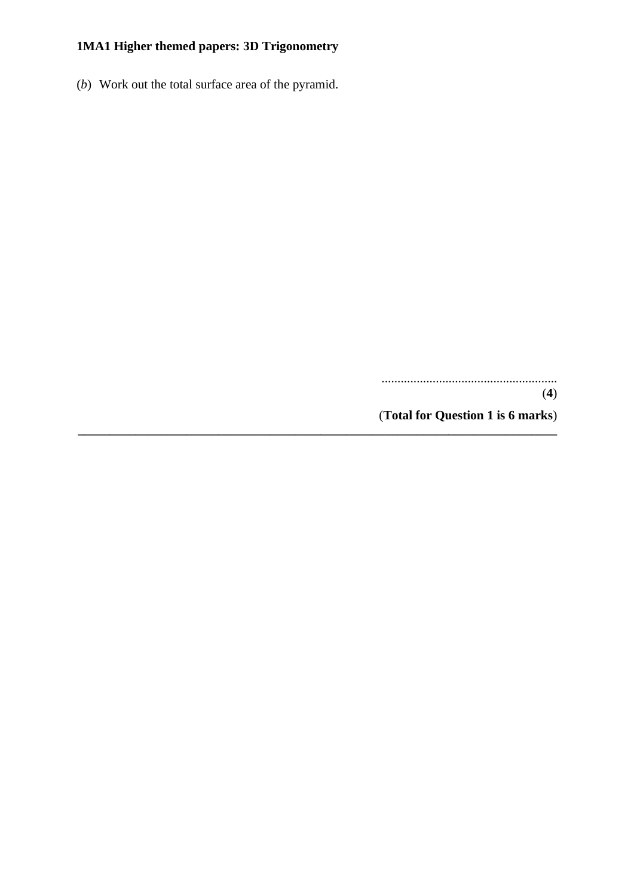(*b*) Work out the total surface area of the pyramid.

....................................................... (**4**)

(**Total for Question 1 is 6 marks**)

**\_\_\_\_\_\_\_\_\_\_\_\_\_\_\_\_\_\_\_\_\_\_\_\_\_\_\_\_\_\_\_\_\_\_\_\_\_\_\_\_\_\_\_\_\_\_\_\_\_\_\_\_\_\_\_\_\_\_\_\_\_\_\_\_\_\_\_\_\_\_\_\_\_\_\_**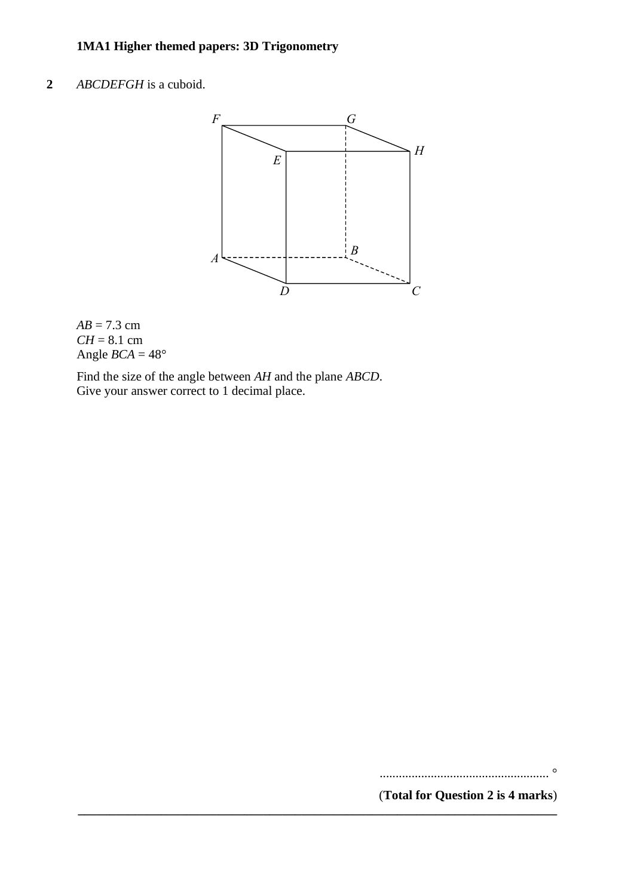# **2** *ABCDEFGH* is a cuboid. **18** *ABCDEFGH* is <sup>a</sup> cuboid.



**\_\_\_\_\_\_\_\_\_\_\_\_\_\_\_\_\_\_\_\_\_\_\_\_\_\_\_\_\_\_\_\_\_\_\_\_\_\_\_\_\_\_\_\_\_\_\_\_\_\_\_\_\_\_\_\_\_\_\_\_\_\_\_\_\_\_\_\_\_\_\_\_\_\_\_**

## $AB = 7.3$  cm  $CH = 8.1 \text{ cm}$ Angle  $BCA = 48^\circ$

Find the size of the angle between *AH* and the plane *ABCD*. Give your answer correct to 1 decimal place. Give your answer correct to 1 decimal place.

..................................................... °

(**Total for Question 2 is 4 marks**)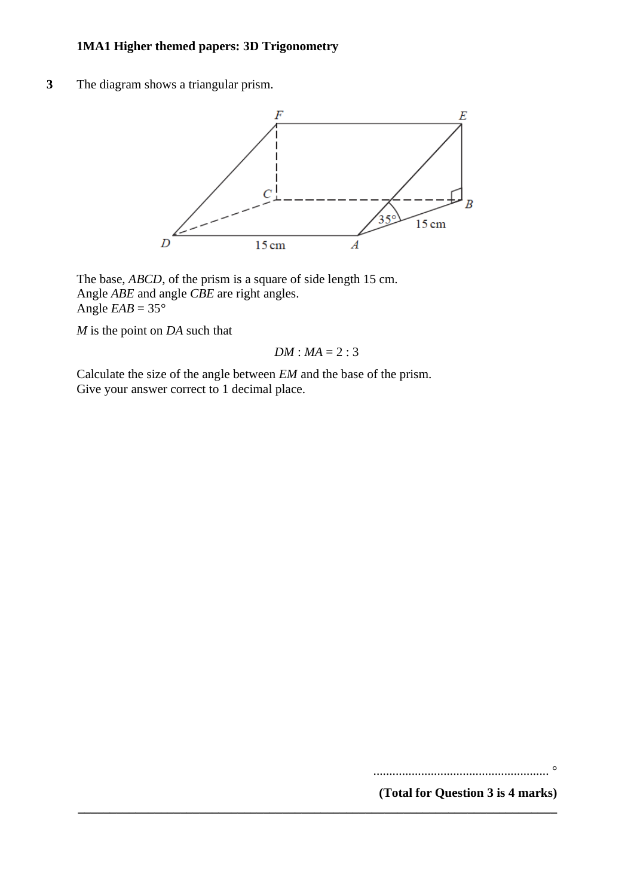**3** The diagram shows a triangular prism.



The base, *ABCD*, of the prism is a square of side length 15 cm. Angle *ABE* and angle *CBE* are right angles. Angle  $EAB = 35^\circ$ 

*M* is the point on *DA* such that

$$
DM: MA = 2:3
$$

**\_\_\_\_\_\_\_\_\_\_\_\_\_\_\_\_\_\_\_\_\_\_\_\_\_\_\_\_\_\_\_\_\_\_\_\_\_\_\_\_\_\_\_\_\_\_\_\_\_\_\_\_\_\_\_\_\_\_\_\_\_\_\_\_\_\_\_\_\_\_\_\_\_\_\_**

Calculate the size of the angle between *EM* and the base of the prism. Give your answer correct to 1 decimal place.

....................................................... °

**(Total for Question 3 is 4 marks)**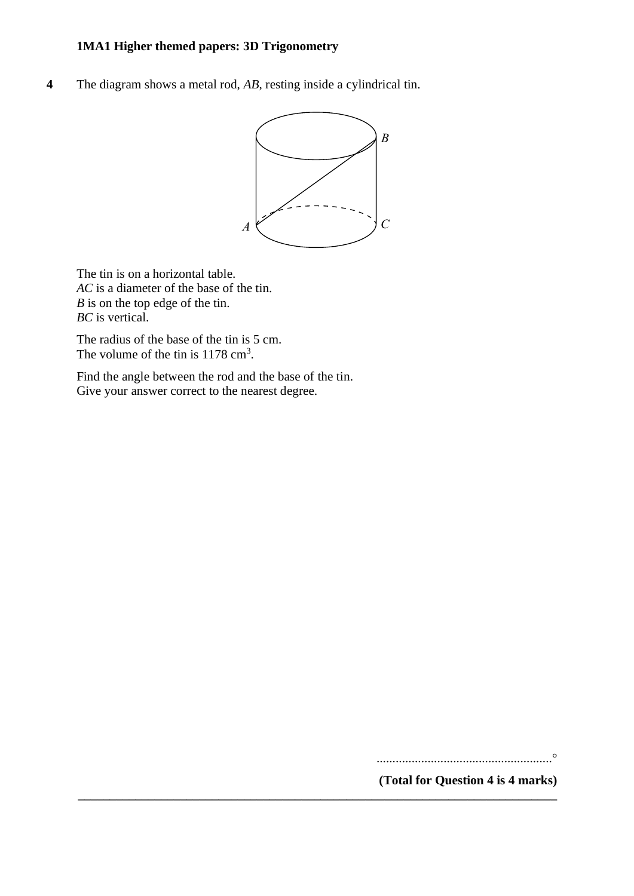**4** The diagram shows a metal rod, *AB*, resting inside a cylindrical tin.



**\_\_\_\_\_\_\_\_\_\_\_\_\_\_\_\_\_\_\_\_\_\_\_\_\_\_\_\_\_\_\_\_\_\_\_\_\_\_\_\_\_\_\_\_\_\_\_\_\_\_\_\_\_\_\_\_\_\_\_\_\_\_\_\_\_\_\_\_\_\_\_\_\_\_\_**

The tin is on a horizontal table. The tin is on <sup>a</sup> horizontal table. *AC* is a diameter of the base of the tin. *AC* is <sup>a</sup> diameter of the base of the tin. *B* is on the top edge of the tin. *B* is on the top edge of the tin. *BC* is vertical. *BC* is vertical.

The radius of the base of the tin is 5 cm. The radius of the base of the tin is 5 cm. The volume of the tin is  $1178 \text{ cm}^3$ .

Find the angle between the rod and the base of the tin. Give your answer correct to the nearest degree. Give your answer correct to the nearest degree.

.......................................................° .......................................................

**(Total for Question 4 is 4 marks) (Total for Question 12 is 4 marks)**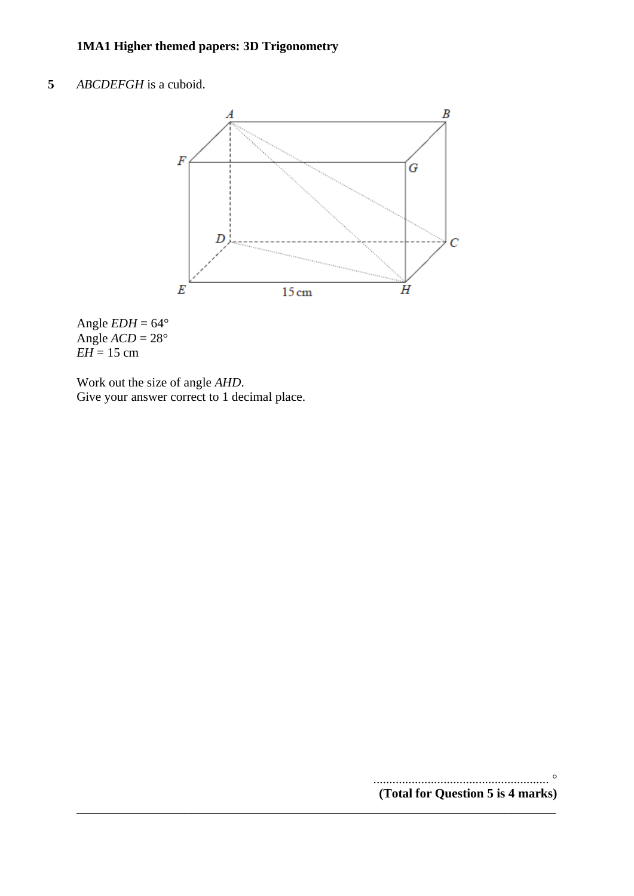# **5** *ABCDEFGH* is a cuboid.



**\_\_\_\_\_\_\_\_\_\_\_\_\_\_\_\_\_\_\_\_\_\_\_\_\_\_\_\_\_\_\_\_\_\_\_\_\_\_\_\_\_\_\_\_\_\_\_\_\_\_\_\_\_\_\_\_\_\_\_\_\_\_\_\_\_\_\_\_\_\_\_\_\_\_\_**

Angle  $EDH = 64^{\circ}$ Angle  $ACD = 28^\circ$  $EH = 15$  cm

Work out the size of angle *AHD*. Give your answer correct to 1 decimal place.

> ....................................................... ° **(Total for Question 5 is 4 marks)**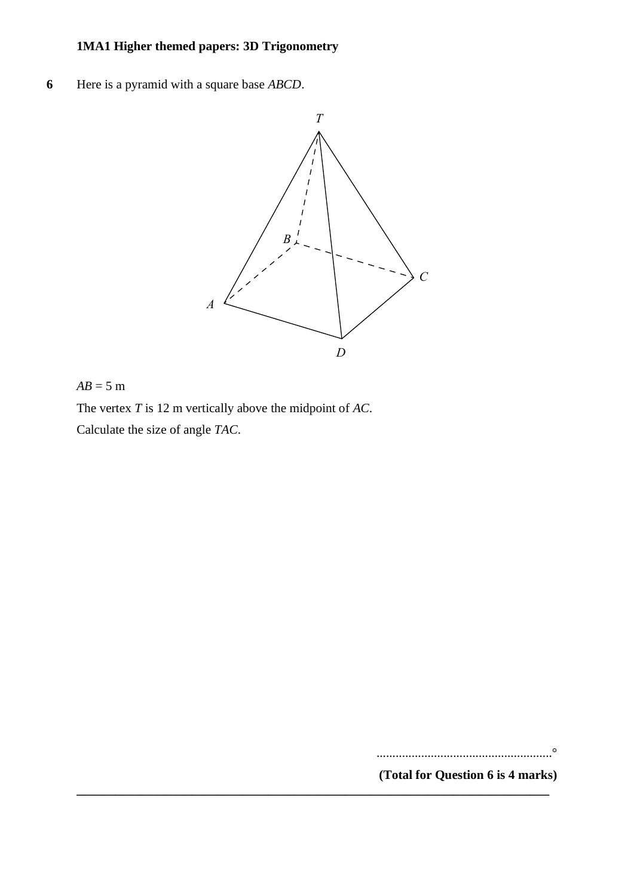**6** Here is a pyramid with a square base *ABCD*. **12** Here is <sup>a</sup> pyramid with <sup>a</sup> square base *ABCD*.



**\_\_\_\_\_\_\_\_\_\_\_\_\_\_\_\_\_\_\_\_\_\_\_\_\_\_\_\_\_\_\_\_\_\_\_\_\_\_\_\_\_\_\_\_\_\_\_\_\_\_\_\_\_\_\_\_\_\_\_\_\_\_\_\_\_\_\_\_\_\_\_\_\_\_**

#### $AB = 5$  m

The vertex *T* is 12 m vertically above the midpoint of *AC*. The vertex *T* is 12m vertically above the midpoint of *AC*. Calculate the size of angle *TAC*. Calculate the size of angle *TAC*.

.......................................................°

**(Total for Question 6 is 4 marks)**